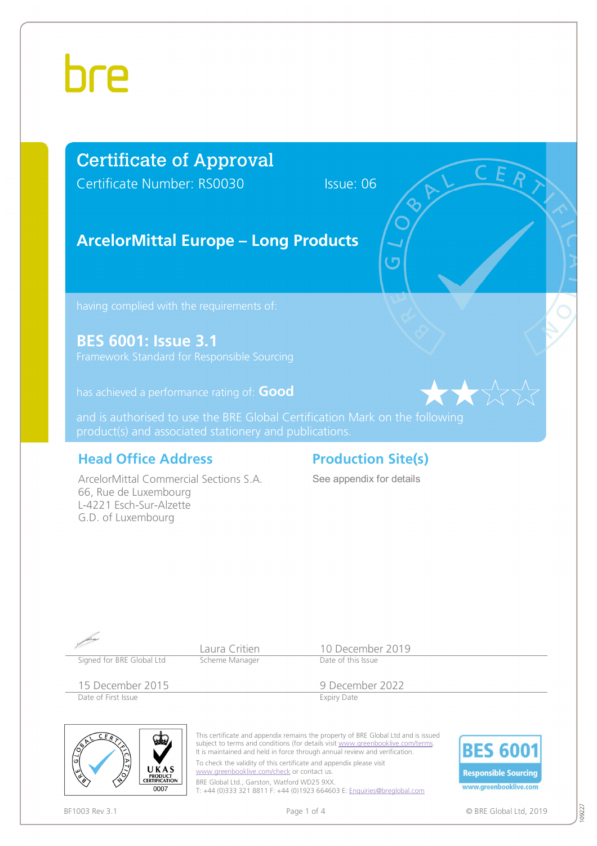## Certificate of Approval

Certificate Number: RS0030 Issue: 06

## **ArcelorMittal Europe – Long Products**

**BES 6001: Issue 3.1** 

has achieved a performance rating of: **Good**

and is authorised to use the BRE Global Certification Mark on the following

### **Head Office Address Production Site(s)**

ArcelorMittal Commercial Sections S.A. 66, Rue de Luxembourg L-4221 Esch-Sur-Alzette G.D. of Luxembourg

See appendix for details

| Signed for BRE Global Ltd                             | Laura Critien<br>Scheme Manager                                                                                                                                                                                                                | 10 December 2019<br>Date of this Issue                                                                                                                                                                                                                                                                                      |
|-------------------------------------------------------|------------------------------------------------------------------------------------------------------------------------------------------------------------------------------------------------------------------------------------------------|-----------------------------------------------------------------------------------------------------------------------------------------------------------------------------------------------------------------------------------------------------------------------------------------------------------------------------|
| 15 December 2015<br>Date of First Issue               |                                                                                                                                                                                                                                                | 9 December 2022<br><b>Expiry Date</b>                                                                                                                                                                                                                                                                                       |
| 0]<br>اقا<br>UKAS<br>PRODUCT<br>CERTIFICATION<br>0007 | It is maintained and held in force through annual review and verification.<br>To check the validity of this certificate and appendix please visit<br>www.greenbooklive.com/check or contact us.<br>BRE Global Ltd., Garston, Watford WD25 9XX. | This certificate and appendix remains the property of BRE Global Ltd and is issued<br>subject to terms and conditions (for details visit www.greenbooklive.com/terms.<br><b>BES 6001</b><br><b>Responsible Sourcing</b><br>www.greenbooklive.com<br>T: +44 (0)333 321 8811 F: +44 (0)1923 664603 E: Enquiries@brealobal.com |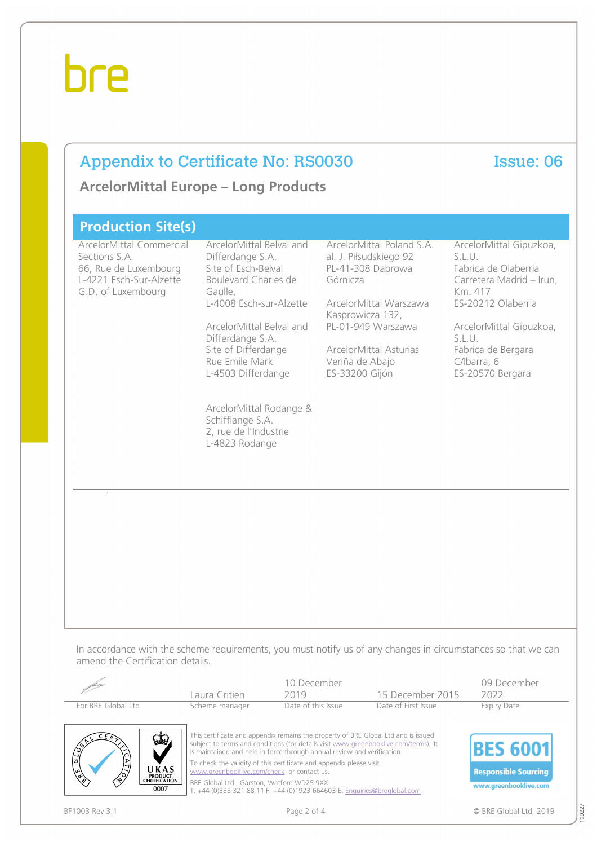### Appendix to Certificate No: RS0030 Issue: 06

**ArcelorMittal Europe – Long Products**

| <b>Production Site(s)</b>                                                                                           |                                                                                                                                                                                                                                                                                                                                            |                                                                                                                                                                                                                         |                                                                                                                                                                                                                      |
|---------------------------------------------------------------------------------------------------------------------|--------------------------------------------------------------------------------------------------------------------------------------------------------------------------------------------------------------------------------------------------------------------------------------------------------------------------------------------|-------------------------------------------------------------------------------------------------------------------------------------------------------------------------------------------------------------------------|----------------------------------------------------------------------------------------------------------------------------------------------------------------------------------------------------------------------|
| ArcelorMittal Commercial<br>Sections S.A.<br>66, Rue de Luxembourg<br>L-4221 Esch-Sur-Alzette<br>G.D. of Luxembourg | ArcelorMittal Belval and<br>Differdange S.A.<br>Site of Esch-Belval<br>Boulevard Charles de<br>Gaulle,<br>L-4008 Esch-sur-Alzette<br>ArcelorMittal Belval and<br>Differdange S.A.<br>Site of Differdange<br>Rue Emile Mark<br>L-4503 Differdange<br>ArcelorMittal Rodange &<br>Schifflange S.A.<br>2, rue de l'Industrie<br>L-4823 Rodange | ArcelorMittal Poland S.A.<br>al. J. Piłsudskiego 92<br>PL-41-308 Dabrowa<br>Górnicza<br>ArcelorMittal Warszawa<br>Kasprowicza 132,<br>PL-01-949 Warszawa<br>ArcelorMittal Asturias<br>Veriña de Abajo<br>ES-33200 Gijón | ArcelorMittal Gipuzkoa,<br>S.L.U.<br>Fabrica de Olaberria<br>Carretera Madrid - Irun,<br>Km. 417<br>ES-20212 Olaberria<br>ArcelorMittal Gipuzkoa,<br>S.L.U.<br>Fabrica de Bergara<br>C/Ibarra, 6<br>ES-20570 Bergara |

In accordance with the scheme requirements, you must notify us of any changes in circumstances so that we can amend the Certification details.

|                                                                                                             | Laura Critien                                                                            | 10 December<br>2019                                                                                                                                                                                                                                                                                                                                                                                     | 15 December 2015    | 09 December<br>2022                                                     |
|-------------------------------------------------------------------------------------------------------------|------------------------------------------------------------------------------------------|---------------------------------------------------------------------------------------------------------------------------------------------------------------------------------------------------------------------------------------------------------------------------------------------------------------------------------------------------------------------------------------------------------|---------------------|-------------------------------------------------------------------------|
| For BRE Global Ltd                                                                                          | Scheme manager                                                                           | Date of this Issue                                                                                                                                                                                                                                                                                                                                                                                      | Date of First Issue | <b>Expiry Date</b>                                                      |
| W.<br>$\frac{1}{\sqrt{2}}$<br>ACTES<br>UKAS<br>$\overline{\mathscr{C}}$<br>PRODUCT<br>CERTIFICATION<br>0007 | www.areenbooklive.com/check or contact us.<br>BRE Global Ltd., Garston, Watford WD25 9XX | This certificate and appendix remains the property of BRE Global Ltd and is issued<br>subject to terms and conditions (for details visit www.greenbooklive.com/terms). It<br>is maintained and held in force through annual review and verification.<br>To check the validity of this certificate and appendix please visit<br>T: +44 (0)333 321 88 11 F: +44 (0)1923 664603 E: Enquiries@breglobal.com |                     | <b>BES 6001</b><br><b>Responsible Sourcing</b><br>www.greenbooklive.com |
| BF1003 Rev 3.1                                                                                              |                                                                                          | Page 2 of 4                                                                                                                                                                                                                                                                                                                                                                                             |                     | © BRE Global Ltd. 2019                                                  |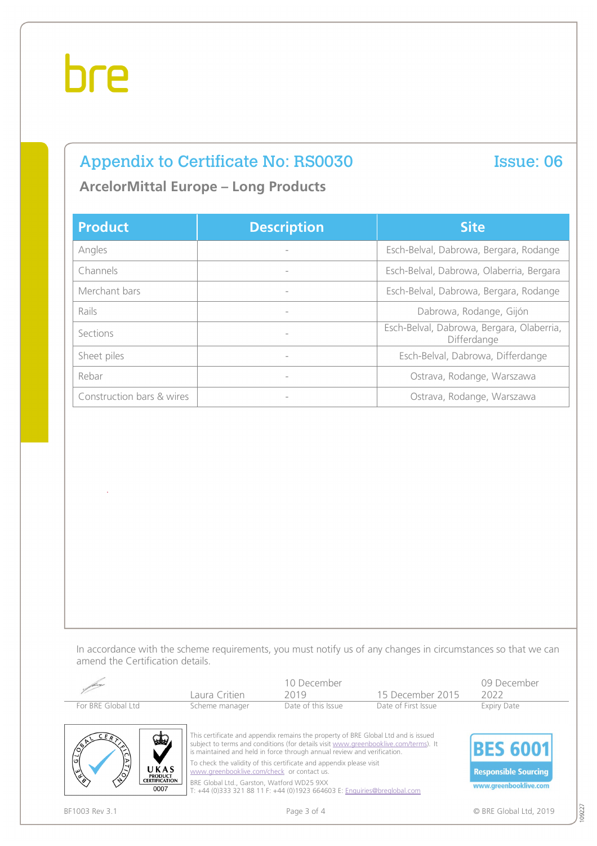## Appendix to Certificate No: RS0030 Issue: 06

### **ArcelorMittal Europe – Long Products**

| <b>Product</b>            | <b>Description</b>       | <b>Site</b>                                              |  |  |
|---------------------------|--------------------------|----------------------------------------------------------|--|--|
| Angles                    |                          | Esch-Belval, Dabrowa, Bergara, Rodange                   |  |  |
| Channels                  |                          | Esch-Belval, Dabrowa, Olaberria, Bergara                 |  |  |
| Merchant bars             |                          | Esch-Belval, Dabrowa, Bergara, Rodange                   |  |  |
| Rails                     | $\overline{\phantom{a}}$ | Dabrowa, Rodange, Gijón                                  |  |  |
| Sections                  | $\overline{\phantom{a}}$ | Esch-Belval, Dabrowa, Bergara, Olaberria,<br>Differdange |  |  |
| Sheet piles               |                          | Esch-Belval, Dabrowa, Differdange                        |  |  |
| Rebar                     |                          | Ostrava, Rodange, Warszawa                               |  |  |
| Construction bars & wires |                          | Ostrava, Rodange, Warszawa                               |  |  |

In accordance with the scheme requirements, you must notify us of any changes in circumstances so that we can amend the Certification details.

|                                                                    | Laura Critien                                                                                                     | 10 December<br>2019                                                                                                                                                                                                                                  | 15 December 2015    | 09 December<br>2022         |
|--------------------------------------------------------------------|-------------------------------------------------------------------------------------------------------------------|------------------------------------------------------------------------------------------------------------------------------------------------------------------------------------------------------------------------------------------------------|---------------------|-----------------------------|
| For BRE Global Ltd                                                 | Scheme manager                                                                                                    | Date of this Issue                                                                                                                                                                                                                                   | Date of First Issue | <b>Expiry Date</b>          |
| $\mathbf{\mathbb{Q}}$<br>$\frac{1}{\sqrt{2}}$                      |                                                                                                                   | This certificate and appendix remains the property of BRE Global Ltd and is issued<br>subject to terms and conditions (for details visit www.greenbooklive.com/terms). It<br>is maintained and held in force through annual review and verification. | <b>BES 6001</b>     |                             |
| $\mathbb{Z}$<br>UKAS<br>$\overline{\mathcal{C}}$<br><b>PRODUCT</b> | To check the validity of this certificate and appendix please visit<br>www.areenbooklive.com/check or contact us. |                                                                                                                                                                                                                                                      |                     | <b>Responsible Sourcing</b> |
| <b>CERTIFICATION</b><br>0007                                       | BRE Global Ltd., Garston, Watford WD25 9XX                                                                        | T: +44 (0)333 321 88 11 F: +44 (0)1923 664603 E: Enquiries@breglobal.com                                                                                                                                                                             |                     | www.greenbooklive.com       |
| BF1003 Rev 3.1                                                     |                                                                                                                   | Page 3 of 4                                                                                                                                                                                                                                          |                     | © BRE Global Ltd. 2019      |